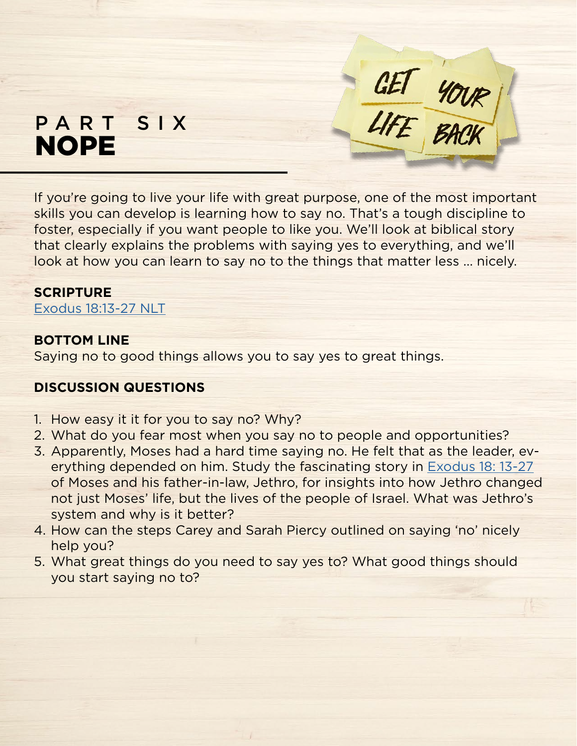# PART SIX NOPE

If you're going to live your life with great purpose, one of the most important skills you can develop is learning how to say no. That's a tough discipline to foster, especially if you want people to like you. We'll look at biblical story that clearly explains the problems with saying yes to everything, and we'll look at how you can learn to say no to the things that matter less ... nicely.

GET YOUR

#### **SCRIPTURE**

[Exodus 18:13-27 NLT](https://www.biblegateway.com/passage/?search=Exodus+18%3A13-27&version=NLT)

### **BOTTOM LINE**

Saying no to good things allows you to say yes to great things.

# **DISCUSSION QUESTIONS**

- 1. How easy it it for you to say no? Why?
- 2. What do you fear most when you say no to people and opportunities?
- 3. Apparently, Moses had a hard time saying no. He felt that as the leader, everything depended on him. Study the fascinating story in [Exodus 18: 13-27](https://www.biblegateway.com/passage/?search=Exodus+18%3A13-27&version=NLT) of Moses and his father-in-law, Jethro, for insights into how Jethro changed not just Moses' life, but the lives of the people of Israel. What was Jethro's system and why is it better?
- 4. How can the steps Carey and Sarah Piercy outlined on saying 'no' nicely help you?
- 5. What great things do you need to say yes to? What good things should you start saying no to?